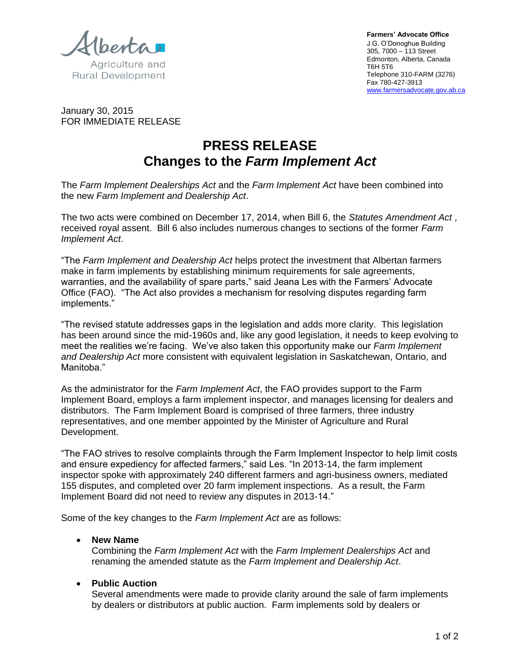Agriculture and

**Rural Development** 

**Farmers' Advocate Office**  J.G. O'Donoghue Building 305, 7000 – 113 Street Edmonton, Alberta, Canada T6H 5T6 Telephone 310-FARM (3276) Fax 780-427-3913 www.farmersadvocate.gov.ab.ca

January 30, 2015 FOR IMMEDIATE RELEASE

# **PRESS RELEASE Changes to the** *Farm Implement Act*

The *Farm Implement Dealerships Act* and the *Farm Implement Act* have been combined into the new *Farm Implement and Dealership Act*.

The two acts were combined on December 17, 2014, when Bill 6, the *Statutes Amendment Act* , received royal assent. Bill 6 also includes numerous changes to sections of the former *Farm Implement Act*.

"The *Farm Implement and Dealership Act* helps protect the investment that Albertan farmers make in farm implements by establishing minimum requirements for sale agreements, warranties, and the availability of spare parts," said Jeana Les with the Farmers' Advocate Office (FAO). "The Act also provides a mechanism for resolving disputes regarding farm implements."

"The revised statute addresses gaps in the legislation and adds more clarity. This legislation has been around since the mid-1960s and, like any good legislation, it needs to keep evolving to meet the realities we're facing. We've also taken this opportunity make our *Farm Implement and Dealership Act* more consistent with equivalent legislation in Saskatchewan, Ontario, and Manitoba."

As the administrator for the *Farm Implement Act*, the FAO provides support to the Farm Implement Board, employs a farm implement inspector, and manages licensing for dealers and distributors. The Farm Implement Board is comprised of three farmers, three industry representatives, and one member appointed by the Minister of Agriculture and Rural Development.

"The FAO strives to resolve complaints through the Farm Implement Inspector to help limit costs and ensure expediency for affected farmers," said Les. "In 2013-14, the farm implement inspector spoke with approximately 240 different farmers and agri-business owners, mediated 155 disputes, and completed over 20 farm implement inspections. As a result, the Farm Implement Board did not need to review any disputes in 2013-14."

Some of the key changes to the *Farm Implement Act* are as follows:

# **New Name**

Combining the *Farm Implement Act* with the *Farm Implement Dealerships Act* and renaming the amended statute as the *Farm Implement and Dealership Act*.

### **Public Auction**

Several amendments were made to provide clarity around the sale of farm implements by dealers or distributors at public auction. Farm implements sold by dealers or